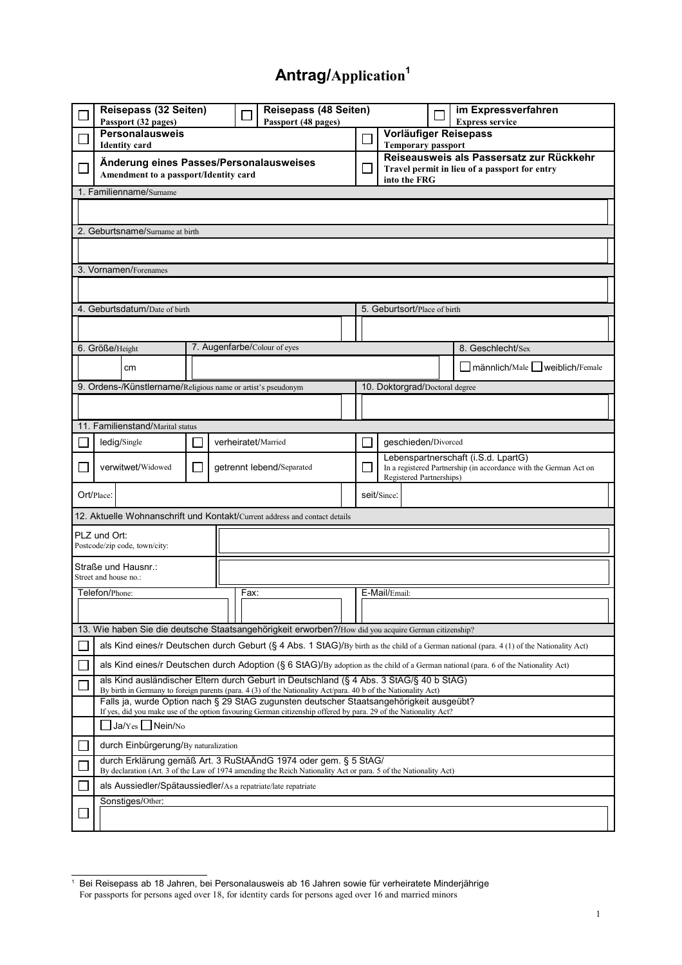## **Antrag/Application[1](#page-0-0)**

| Reisepass (32 Seiten)<br>Passport (32 pages)                                                                                              |                                                                                                                                                                                                                                                                                                     |  | Reisepass (48 Seiten)<br>Passport (48 pages) |  |                          |                                                                                                                                      |                                                                                                           | im Expressverfahren<br><b>Express service</b> |  |  |  |  |
|-------------------------------------------------------------------------------------------------------------------------------------------|-----------------------------------------------------------------------------------------------------------------------------------------------------------------------------------------------------------------------------------------------------------------------------------------------------|--|----------------------------------------------|--|--------------------------|--------------------------------------------------------------------------------------------------------------------------------------|-----------------------------------------------------------------------------------------------------------|-----------------------------------------------|--|--|--|--|
|                                                                                                                                           | <b>Personalausweis</b><br><b>Identity</b> card                                                                                                                                                                                                                                                      |  |                                              |  |                          | <b>Temporary passport</b>                                                                                                            | Vorläufiger Reisepass                                                                                     |                                               |  |  |  |  |
| Änderung eines Passes/Personalausweises<br>Amendment to a passport/Identity card<br>1. Familienname/Surname                               |                                                                                                                                                                                                                                                                                                     |  |                                              |  | $\overline{\phantom{a}}$ |                                                                                                                                      | Reiseausweis als Passersatz zur Rückkehr<br>Travel permit in lieu of a passport for entry<br>into the FRG |                                               |  |  |  |  |
|                                                                                                                                           |                                                                                                                                                                                                                                                                                                     |  |                                              |  |                          |                                                                                                                                      |                                                                                                           |                                               |  |  |  |  |
| 2. Geburtsname/Surname at birth                                                                                                           |                                                                                                                                                                                                                                                                                                     |  |                                              |  |                          |                                                                                                                                      |                                                                                                           |                                               |  |  |  |  |
|                                                                                                                                           |                                                                                                                                                                                                                                                                                                     |  |                                              |  |                          |                                                                                                                                      |                                                                                                           |                                               |  |  |  |  |
| 3. Vornamen/Forenames                                                                                                                     |                                                                                                                                                                                                                                                                                                     |  |                                              |  |                          |                                                                                                                                      |                                                                                                           |                                               |  |  |  |  |
|                                                                                                                                           |                                                                                                                                                                                                                                                                                                     |  |                                              |  |                          |                                                                                                                                      |                                                                                                           |                                               |  |  |  |  |
| 4. Geburtsdatum/Date of birth                                                                                                             |                                                                                                                                                                                                                                                                                                     |  |                                              |  |                          | 5. Geburtsort/Place of birth                                                                                                         |                                                                                                           |                                               |  |  |  |  |
|                                                                                                                                           |                                                                                                                                                                                                                                                                                                     |  |                                              |  |                          |                                                                                                                                      |                                                                                                           |                                               |  |  |  |  |
|                                                                                                                                           | 7. Augenfarbe/Colour of eyes<br>6. Größe/Height                                                                                                                                                                                                                                                     |  |                                              |  |                          | 8. Geschlecht/Sex                                                                                                                    |                                                                                                           |                                               |  |  |  |  |
|                                                                                                                                           | cm                                                                                                                                                                                                                                                                                                  |  |                                              |  |                          | Imännlich/Male   Iweiblich/Female                                                                                                    |                                                                                                           |                                               |  |  |  |  |
|                                                                                                                                           | 9. Ordens-/Künstlername/Religious name or artist's pseudonym                                                                                                                                                                                                                                        |  |                                              |  |                          | 10. Doktorgrad/Doctoral degree                                                                                                       |                                                                                                           |                                               |  |  |  |  |
|                                                                                                                                           |                                                                                                                                                                                                                                                                                                     |  |                                              |  |                          |                                                                                                                                      |                                                                                                           |                                               |  |  |  |  |
| 11. Familienstand/Marital status                                                                                                          |                                                                                                                                                                                                                                                                                                     |  |                                              |  |                          |                                                                                                                                      |                                                                                                           |                                               |  |  |  |  |
|                                                                                                                                           | ledig/Single<br>verheiratet/Married                                                                                                                                                                                                                                                                 |  |                                              |  | ΙI                       | qeschieden/Divorced                                                                                                                  |                                                                                                           |                                               |  |  |  |  |
|                                                                                                                                           | verwitwet/Widowed<br>getrennt lebend/Separated<br>L                                                                                                                                                                                                                                                 |  |                                              |  | H                        | Lebenspartnerschaft (i.S.d. LpartG)<br>In a registered Partnership (in accordance with the German Act on<br>Registered Partnerships) |                                                                                                           |                                               |  |  |  |  |
| Ort/Place:                                                                                                                                |                                                                                                                                                                                                                                                                                                     |  |                                              |  |                          | seit/Since:                                                                                                                          |                                                                                                           |                                               |  |  |  |  |
| 12. Aktuelle Wohnanschrift und Kontakt/Current address and contact details                                                                |                                                                                                                                                                                                                                                                                                     |  |                                              |  |                          |                                                                                                                                      |                                                                                                           |                                               |  |  |  |  |
| PLZ und Ort:<br>Postcode/zip code, town/city:                                                                                             |                                                                                                                                                                                                                                                                                                     |  |                                              |  |                          |                                                                                                                                      |                                                                                                           |                                               |  |  |  |  |
|                                                                                                                                           | Straße und Hausnr.:<br>Street and house no.:                                                                                                                                                                                                                                                        |  |                                              |  |                          |                                                                                                                                      |                                                                                                           |                                               |  |  |  |  |
| Fax:<br>Telefon/Phone:                                                                                                                    |                                                                                                                                                                                                                                                                                                     |  |                                              |  | E-Mail/Email:            |                                                                                                                                      |                                                                                                           |                                               |  |  |  |  |
|                                                                                                                                           |                                                                                                                                                                                                                                                                                                     |  |                                              |  |                          |                                                                                                                                      |                                                                                                           |                                               |  |  |  |  |
| 13. Wie haben Sie die deutsche Staatsangehörigkeit erworben?/How did you acquire German citizenship?                                      |                                                                                                                                                                                                                                                                                                     |  |                                              |  |                          |                                                                                                                                      |                                                                                                           |                                               |  |  |  |  |
| als Kind eines/r Deutschen durch Geburt (§ 4 Abs. 1 StAG)/By birth as the child of a German national (para. 4 (1) of the Nationality Act) |                                                                                                                                                                                                                                                                                                     |  |                                              |  |                          |                                                                                                                                      |                                                                                                           |                                               |  |  |  |  |
|                                                                                                                                           | als Kind eines/r Deutschen durch Adoption (§ 6 StAG)/By adoption as the child of a German national (para. 6 of the Nationality Act)                                                                                                                                                                 |  |                                              |  |                          |                                                                                                                                      |                                                                                                           |                                               |  |  |  |  |
|                                                                                                                                           | als Kind ausländischer Eltern durch Geburt in Deutschland (§ 4 Abs. 3 StAG/§ 40 b StAG)<br>By birth in Germany to foreign parents (para. 4 (3) of the Nationality Act/para. 40 b of the Nationality Act)<br>Falls ja, wurde Option nach § 29 StAG zugunsten deutscher Staatsangehörigkeit ausgeübt? |  |                                              |  |                          |                                                                                                                                      |                                                                                                           |                                               |  |  |  |  |
|                                                                                                                                           | If yes, did you make use of the option favouring German citizenship offered by para. 29 of the Nationality Act?<br>$\Box$ Ja/Yes $\Box$ Nein/No                                                                                                                                                     |  |                                              |  |                          |                                                                                                                                      |                                                                                                           |                                               |  |  |  |  |
|                                                                                                                                           | durch Einbürgerung/By naturalization                                                                                                                                                                                                                                                                |  |                                              |  |                          |                                                                                                                                      |                                                                                                           |                                               |  |  |  |  |
|                                                                                                                                           | durch Erklärung gemäß Art. 3 RuStAÄndG 1974 oder gem. § 5 StAG/                                                                                                                                                                                                                                     |  |                                              |  |                          |                                                                                                                                      |                                                                                                           |                                               |  |  |  |  |
|                                                                                                                                           | By declaration (Art. 3 of the Law of 1974 amending the Reich Nationality Act or para. 5 of the Nationality Act)<br>als Aussiedler/Spätaussiedler/As a repatriate/late repatriate                                                                                                                    |  |                                              |  |                          |                                                                                                                                      |                                                                                                           |                                               |  |  |  |  |
|                                                                                                                                           | Sonstiges/Other:                                                                                                                                                                                                                                                                                    |  |                                              |  |                          |                                                                                                                                      |                                                                                                           |                                               |  |  |  |  |
|                                                                                                                                           |                                                                                                                                                                                                                                                                                                     |  |                                              |  |                          |                                                                                                                                      |                                                                                                           |                                               |  |  |  |  |

<span id="page-0-0"></span><sup>1</sup> Bei Reisepass ab 18 Jahren, bei Personalausweis ab 16 Jahren sowie für verheiratete Minderjährige For passports for persons aged over 18, for identity cards for persons aged over 16 and married minors